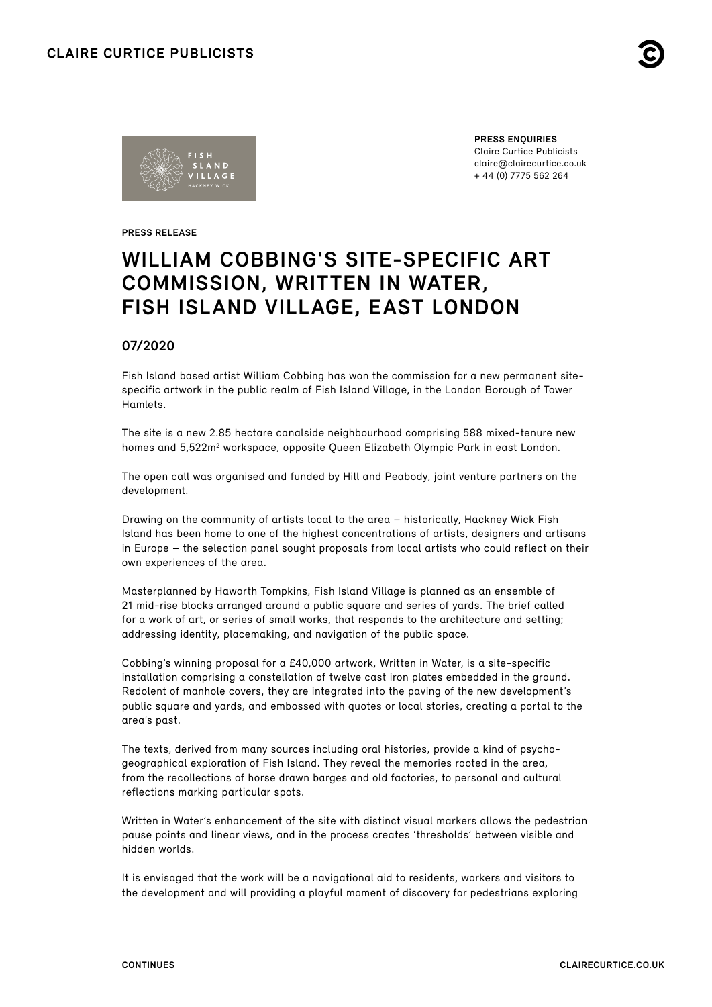



**PRESS ENQUIRIES** Claire Curtice Publicists claire@clairecurtice.co.uk + 44 (0) 7775 562 264

**PRESS RELEASE**

# **WILLIAM COBBING'S SITE-SPECIFIC ART COMMISSION, WRITTEN IN WATER, FISH ISLAND VILLAGE, EAST LONDON**

## **07/2020**

Fish Island based artist William Cobbing has won the commission for a new permanent sitespecific artwork in the public realm of Fish Island Village, in the London Borough of Tower Hamlets.

The site is a new 2.85 hectare canalside neighbourhood comprising 588 mixed-tenure new homes and 5,522m<sup>2</sup> workspace, opposite Queen Elizabeth Olympic Park in east London.

The open call was organised and funded by Hill and Peabody, joint venture partners on the development.

Drawing on the community of artists local to the area – historically, Hackney Wick Fish Island has been home to one of the highest concentrations of artists, designers and artisans in Europe – the selection panel sought proposals from local artists who could reflect on their own experiences of the area.

Masterplanned by Haworth Tompkins, Fish Island Village is planned as an ensemble of 21 mid-rise blocks arranged around a public square and series of yards. The brief called for a work of art, or series of small works, that responds to the architecture and setting; addressing identity, placemaking, and navigation of the public space.

Cobbing's winning proposal for a £40,000 artwork, Written in Water, is a site-specific installation comprising a constellation of twelve cast iron plates embedded in the ground. Redolent of manhole covers, they are integrated into the paving of the new development's public square and yards, and embossed with quotes or local stories, creating a portal to the area's past.

The texts, derived from many sources including oral histories, provide a kind of psychogeographical exploration of Fish Island. They reveal the memories rooted in the area, from the recollections of horse drawn barges and old factories, to personal and cultural reflections marking particular spots.

Written in Water's enhancement of the site with distinct visual markers allows the pedestrian pause points and linear views, and in the process creates 'thresholds' between visible and hidden worlds.

It is envisaged that the work will be a navigational aid to residents, workers and visitors to the development and will providing a playful moment of discovery for pedestrians exploring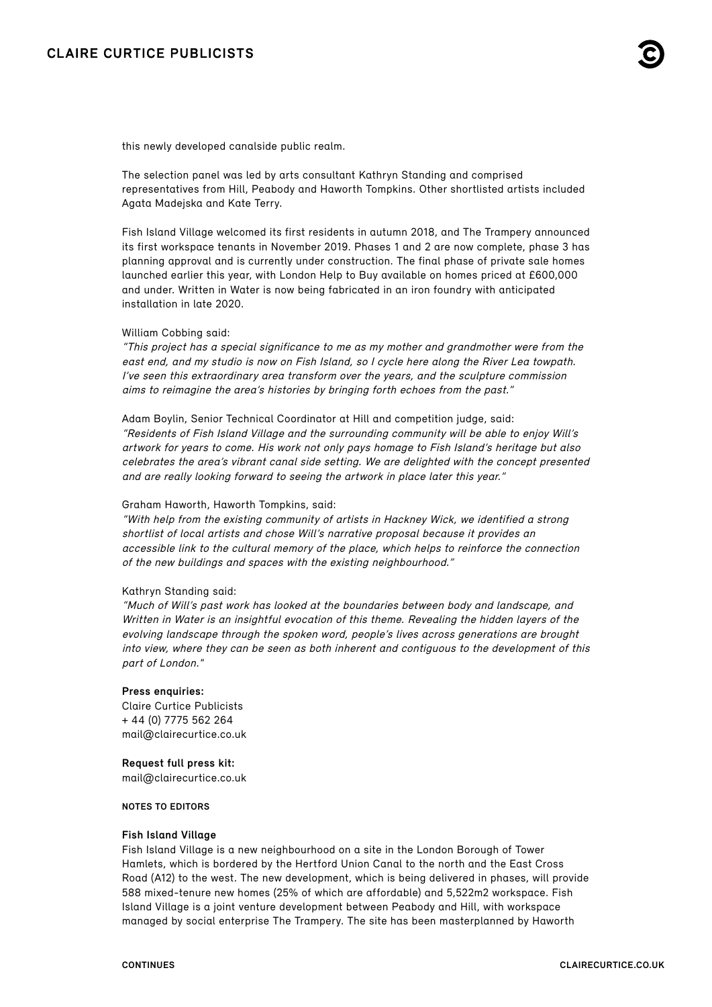this newly developed canalside public realm.

The selection panel was led by arts consultant Kathryn Standing and comprised representatives from Hill, Peabody and Haworth Tompkins. Other shortlisted artists included Agata Madejska and Kate Terry.

Fish Island Village welcomed its first residents in autumn 2018, and The Trampery announced its first workspace tenants in November 2019. Phases 1 and 2 are now complete, phase 3 has planning approval and is currently under construction. The final phase of private sale homes launched earlier this year, with London Help to Buy available on homes priced at £600,000 and under. Written in Water is now being fabricated in an iron foundry with anticipated installation in late 2020.

#### William Cobbing said:

"This project has a special significance to me as my mother and grandmother were from the east end, and my studio is now on Fish Island, so I cycle here along the River Lea towpath. I've seen this extraordinary area transform over the years, and the sculpture commission aims to reimagine the area's histories by bringing forth echoes from the past."

Adam Boylin, Senior Technical Coordinator at Hill and competition judge, said: "Residents of Fish Island Village and the surrounding community will be able to enjoy Will's artwork for years to come. His work not only pays homage to Fish Island's heritage but also celebrates the area's vibrant canal side setting. We are delighted with the concept presented and are really looking forward to seeing the artwork in place later this year."

#### Graham Haworth, Haworth Tompkins, said:

"With help from the existing community of artists in Hackney Wick, we identified a strong shortlist of local artists and chose Will's narrative proposal because it provides an accessible link to the cultural memory of the place, which helps to reinforce the connection of the new buildings and spaces with the existing neighbourhood."

#### Kathryn Standing said:

"Much of Will's past work has looked at the boundaries between body and landscape, and Written in Water is an insightful evocation of this theme. Revealing the hidden layers of the evolving landscape through the spoken word, people's lives across generations are brought into view, where they can be seen as both inherent and contiguous to the development of this part of London."

#### **Press enquiries:**

Claire Curtice Publicists + 44 (0) 7775 562 264 [mail@clairecurtice.co.uk](mailto:mail@clairecurtice.co.uk)

#### **Request full press kit:**

[mail@clairecurtice.co.uk](mailto:mail@clairecurtice.co.uk?subject=Written in Water)

#### **NOTES TO EDITORS**

#### **Fish Island Village**

Fish Island Village is a new neighbourhood on a site in the London Borough of Tower Hamlets, which is bordered by the Hertford Union Canal to the north and the East Cross Road (A12) to the west. The new development, which is being delivered in phases, will provide 588 mixed-tenure new homes (25% of which are affordable) and 5,522m2 workspace. Fish Island Village is a joint venture development between Peabody and Hill, with workspace managed by social enterprise The Trampery. The site has been masterplanned by Haworth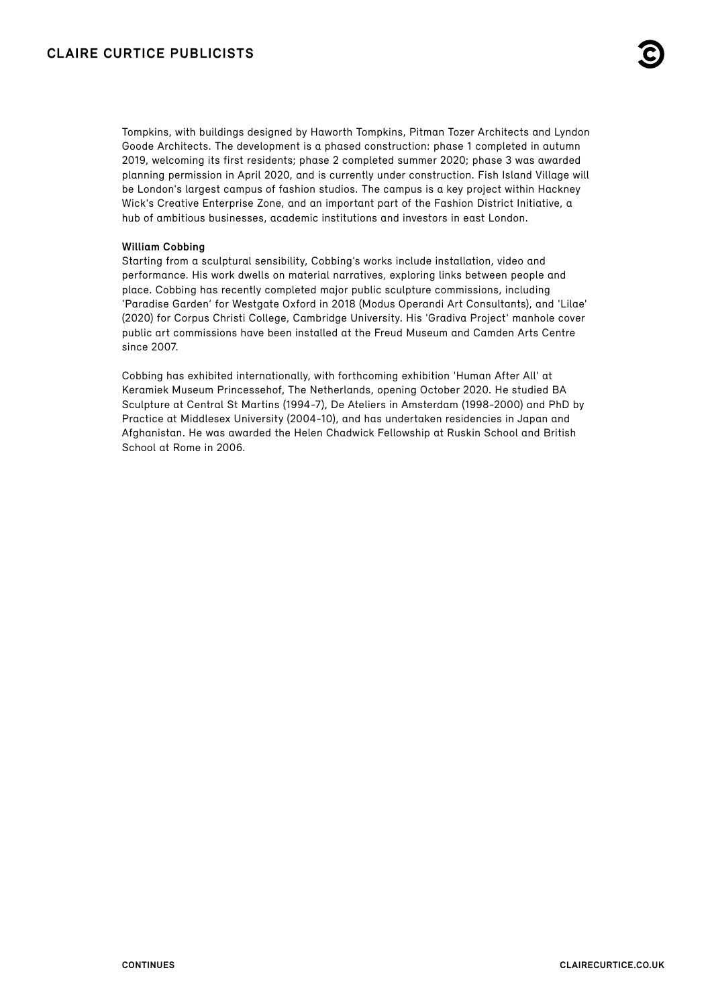Tompkins, with buildings designed by Haworth Tompkins, Pitman Tozer Architects and Lyndon Goode Architects. The development is a phased construction: phase 1 completed in autumn 2019, welcoming its first residents; phase 2 completed summer 2020; phase 3 was awarded planning permission in April 2020, and is currently under construction. Fish Island Village will be London's largest campus of fashion studios. The campus is a key project within Hackney Wick's Creative Enterprise Zone, and an important part of the Fashion District Initiative, a hub of ambitious businesses, academic institutions and investors in east London.

### **William Cobbing**

Starting from a sculptural sensibility, Cobbing's works include installation, video and performance. His work dwells on material narratives, exploring links between people and place. Cobbing has recently completed major public sculpture commissions, including 'Paradise Garden' for Westgate Oxford in 2018 (Modus Operandi Art Consultants), and 'Lilae' (2020) for Corpus Christi College, Cambridge University. His 'Gradiva Project' manhole cover public art commissions have been installed at the Freud Museum and Camden Arts Centre since 2007.

Cobbing has exhibited internationally, with forthcoming exhibition 'Human After All' at Keramiek Museum Princessehof, The Netherlands, opening October 2020. He studied BA Sculpture at Central St Martins (1994-7), De Ateliers in Amsterdam (1998-2000) and PhD by Practice at Middlesex University (2004-10), and has undertaken residencies in Japan and Afghanistan. He was awarded the Helen Chadwick Fellowship at Ruskin School and British School at Rome in 2006.